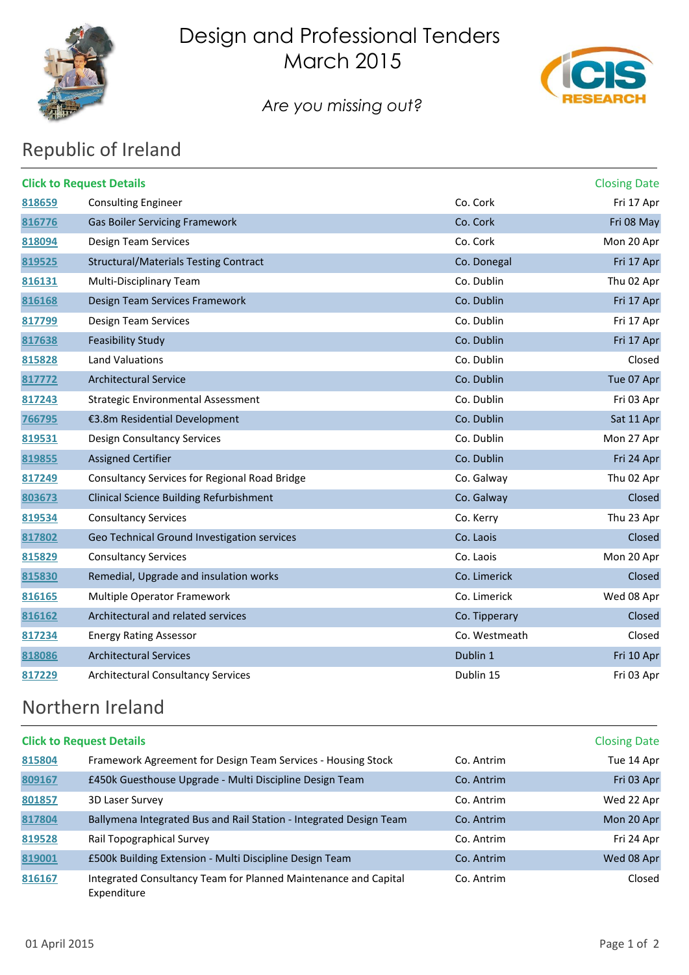

## Design and Professional Tenders March 2015



*Are you missing out?*

# Republic of Ireland

| <b>Click to Request Details</b><br><b>Closing Date</b> |                                                |               |            |  |
|--------------------------------------------------------|------------------------------------------------|---------------|------------|--|
| 818659                                                 | <b>Consulting Engineer</b>                     | Co. Cork      | Fri 17 Apr |  |
| 816776                                                 | <b>Gas Boiler Servicing Framework</b>          | Co. Cork      | Fri 08 May |  |
| 818094                                                 | Design Team Services                           | Co. Cork      | Mon 20 Apr |  |
| 819525                                                 | Structural/Materials Testing Contract          | Co. Donegal   | Fri 17 Apr |  |
| 816131                                                 | Multi-Disciplinary Team                        | Co. Dublin    | Thu 02 Apr |  |
| 816168                                                 | Design Team Services Framework                 | Co. Dublin    | Fri 17 Apr |  |
| 817799                                                 | Design Team Services                           | Co. Dublin    | Fri 17 Apr |  |
| 817638                                                 | <b>Feasibility Study</b>                       | Co. Dublin    | Fri 17 Apr |  |
| 815828                                                 | Land Valuations                                | Co. Dublin    | Closed     |  |
| 817772                                                 | <b>Architectural Service</b>                   | Co. Dublin    | Tue 07 Apr |  |
| 817243                                                 | <b>Strategic Environmental Assessment</b>      | Co. Dublin    | Fri 03 Apr |  |
| 766795                                                 | €3.8m Residential Development                  | Co. Dublin    | Sat 11 Apr |  |
| 819531                                                 | Design Consultancy Services                    | Co. Dublin    | Mon 27 Apr |  |
| 819855                                                 | <b>Assigned Certifier</b>                      | Co. Dublin    | Fri 24 Apr |  |
| 817249                                                 | Consultancy Services for Regional Road Bridge  | Co. Galway    | Thu 02 Apr |  |
| 803673                                                 | <b>Clinical Science Building Refurbishment</b> | Co. Galway    | Closed     |  |
| 819534                                                 | <b>Consultancy Services</b>                    | Co. Kerry     | Thu 23 Apr |  |
| 817802                                                 | Geo Technical Ground Investigation services    | Co. Laois     | Closed     |  |
| 815829                                                 | <b>Consultancy Services</b>                    | Co. Laois     | Mon 20 Apr |  |
| 815830                                                 | Remedial, Upgrade and insulation works         | Co. Limerick  | Closed     |  |
| 816165                                                 | Multiple Operator Framework                    | Co. Limerick  | Wed 08 Apr |  |
| 816162                                                 | Architectural and related services             | Co. Tipperary | Closed     |  |
| 817234                                                 | <b>Energy Rating Assessor</b>                  | Co. Westmeath | Closed     |  |
| 818086                                                 | <b>Architectural Services</b>                  | Dublin 1      | Fri 10 Apr |  |
| 817229                                                 | <b>Architectural Consultancy Services</b>      | Dublin 15     | Fri 03 Apr |  |

#### Northern Ireland

| <b>Click to Request Details</b> |                                                                                |            |            |
|---------------------------------|--------------------------------------------------------------------------------|------------|------------|
| 815804                          | Framework Agreement for Design Team Services - Housing Stock                   | Co. Antrim | Tue 14 Apr |
| 809167                          | £450k Guesthouse Upgrade - Multi Discipline Design Team                        | Co. Antrim | Fri 03 Apr |
| 801857                          | 3D Laser Survey                                                                | Co. Antrim | Wed 22 Apr |
| 817804                          | Ballymena Integrated Bus and Rail Station - Integrated Design Team             | Co. Antrim | Mon 20 Apr |
| 819528                          | Rail Topographical Survey                                                      | Co. Antrim | Fri 24 Apr |
| 819001                          | £500k Building Extension - Multi Discipline Design Team                        | Co. Antrim | Wed 08 Apr |
| 816167                          | Integrated Consultancy Team for Planned Maintenance and Capital<br>Expenditure | Co. Antrim | Closed     |